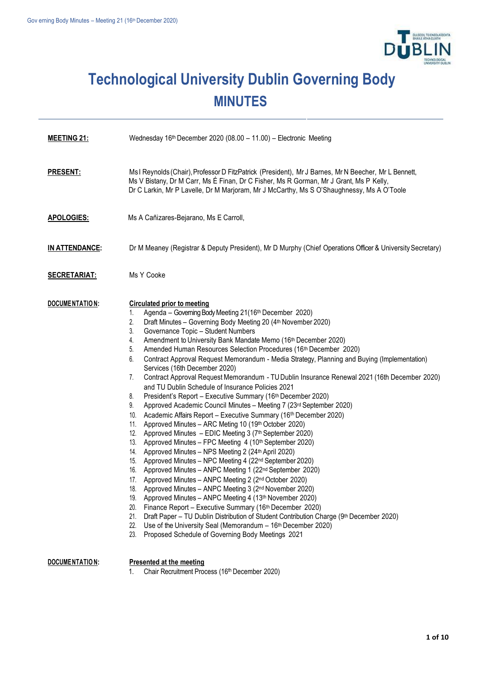

## **Technological University Dublin Governing Body MINUTES**

| <b>MEETING 21:</b>    | Wednesday 16th December 2020 (08.00 - 11.00) - Electronic Meeting                                                                                                                                                                                                                                                                                                                                                                                                                                                                                                                                                                                                                                                                                                                                                                                                                                                                                                                                                                                                                                                                                                                                                                                                                                                                                                                                                                                                                                                                                                                                                                                                                                                                                                                         |
|-----------------------|-------------------------------------------------------------------------------------------------------------------------------------------------------------------------------------------------------------------------------------------------------------------------------------------------------------------------------------------------------------------------------------------------------------------------------------------------------------------------------------------------------------------------------------------------------------------------------------------------------------------------------------------------------------------------------------------------------------------------------------------------------------------------------------------------------------------------------------------------------------------------------------------------------------------------------------------------------------------------------------------------------------------------------------------------------------------------------------------------------------------------------------------------------------------------------------------------------------------------------------------------------------------------------------------------------------------------------------------------------------------------------------------------------------------------------------------------------------------------------------------------------------------------------------------------------------------------------------------------------------------------------------------------------------------------------------------------------------------------------------------------------------------------------------------|
| <b>PRESENT:</b>       | Ms I Reynolds (Chair), Professor D FitzPatrick (President), Mr J Barnes, Mr N Beecher, Mr L Bennett,<br>Ms V Bistany, Dr M Carr, Ms É Finan, Dr C Fisher, Ms R Gorman, Mr J Grant, Ms P Kelly,<br>Dr C Larkin, Mr P Lavelle, Dr M Marjoram, Mr J McCarthy, Ms S O'Shaughnessy, Ms A O'Toole                                                                                                                                                                                                                                                                                                                                                                                                                                                                                                                                                                                                                                                                                                                                                                                                                                                                                                                                                                                                                                                                                                                                                                                                                                                                                                                                                                                                                                                                                               |
| <b>APOLOGIES:</b>     | Ms A Cañizares-Bejarano, Ms E Carroll,                                                                                                                                                                                                                                                                                                                                                                                                                                                                                                                                                                                                                                                                                                                                                                                                                                                                                                                                                                                                                                                                                                                                                                                                                                                                                                                                                                                                                                                                                                                                                                                                                                                                                                                                                    |
| <b>IN ATTENDANCE:</b> | Dr M Meaney (Registrar & Deputy President), Mr D Murphy (Chief Operations Officer & University Secretary)                                                                                                                                                                                                                                                                                                                                                                                                                                                                                                                                                                                                                                                                                                                                                                                                                                                                                                                                                                                                                                                                                                                                                                                                                                                                                                                                                                                                                                                                                                                                                                                                                                                                                 |
| <b>SECRETARIAT:</b>   | Ms Y Cooke                                                                                                                                                                                                                                                                                                                                                                                                                                                                                                                                                                                                                                                                                                                                                                                                                                                                                                                                                                                                                                                                                                                                                                                                                                                                                                                                                                                                                                                                                                                                                                                                                                                                                                                                                                                |
| DOCUMENTATION:        | <b>Circulated prior to meeting</b><br>Agenda - Governing Body Meeting 21(16th December 2020)<br>1.<br>2.<br>Draft Minutes - Governing Body Meeting 20 (4th November 2020)<br>Governance Topic - Student Numbers<br>3.<br>Amendment to University Bank Mandate Memo (16th December 2020)<br>4.<br>Amended Human Resources Selection Procedures (16th December 2020)<br>5.<br>Contract Approval Request Memorandum - Media Strategy, Planning and Buying (Implementation)<br>6.<br>Services (16th December 2020)<br>Contract Approval Request Memorandum - TU Dublin Insurance Renewal 2021 (16th December 2020)<br>7.<br>and TU Dublin Schedule of Insurance Policies 2021<br>President's Report - Executive Summary (16th December 2020)<br>8.<br>Approved Academic Council Minutes - Meeting 7 (23rd September 2020)<br>9.<br>Academic Affairs Report - Executive Summary (16th December 2020)<br>10.<br>11. Approved Minutes - ARC Meting 10 (19th October 2020)<br>12. Approved Minutes - EDIC Meeting 3 (7th September 2020)<br>13. Approved Minutes - FPC Meeting 4 (10th September 2020)<br>14. Approved Minutes - NPS Meeting 2 (24th April 2020)<br>15. Approved Minutes - NPC Meeting 4 (22nd September 2020)<br>16. Approved Minutes - ANPC Meeting 1 (22nd September 2020)<br>17. Approved Minutes - ANPC Meeting 2 (2nd October 2020)<br>Approved Minutes – ANPC Meeting 3 (2nd November 2020)<br>18.<br>Approved Minutes - ANPC Meeting 4 (13th November 2020)<br>19.<br>Finance Report - Executive Summary (16th December 2020)<br>20.<br>21.<br>Draft Paper - TU Dublin Distribution of Student Contribution Charge (9th December 2020)<br>22.<br>Use of the University Seal (Memorandum - 16th December 2020)<br>23.<br>Proposed Schedule of Governing Body Meetings 2021 |
| DOCUMENTATION:        | Presented at the meeting                                                                                                                                                                                                                                                                                                                                                                                                                                                                                                                                                                                                                                                                                                                                                                                                                                                                                                                                                                                                                                                                                                                                                                                                                                                                                                                                                                                                                                                                                                                                                                                                                                                                                                                                                                  |

1. Chair Recruitment Process (16<sup>th</sup> December 2020)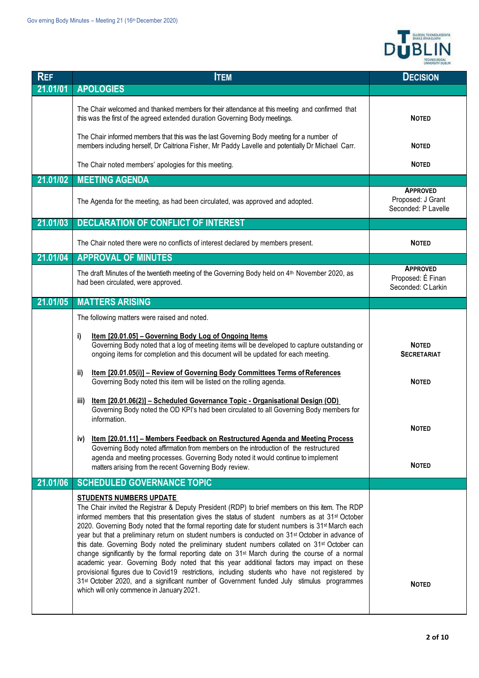

| <b>REF</b> | <b>ITEM</b>                                                                                                                                                                                                                                                                                                                                                                                                                                                                                                                                                                                                                                                                                                                                                                                                                                                                                                                                                                                                                                       | <b>DECISION</b>                                             |
|------------|---------------------------------------------------------------------------------------------------------------------------------------------------------------------------------------------------------------------------------------------------------------------------------------------------------------------------------------------------------------------------------------------------------------------------------------------------------------------------------------------------------------------------------------------------------------------------------------------------------------------------------------------------------------------------------------------------------------------------------------------------------------------------------------------------------------------------------------------------------------------------------------------------------------------------------------------------------------------------------------------------------------------------------------------------|-------------------------------------------------------------|
| 21.01/01   | <b>APOLOGIES</b>                                                                                                                                                                                                                                                                                                                                                                                                                                                                                                                                                                                                                                                                                                                                                                                                                                                                                                                                                                                                                                  |                                                             |
|            | The Chair welcomed and thanked members for their attendance at this meeting and confirmed that<br>this was the first of the agreed extended duration Governing Body meetings.                                                                                                                                                                                                                                                                                                                                                                                                                                                                                                                                                                                                                                                                                                                                                                                                                                                                     | <b>NOTED</b>                                                |
|            | The Chair informed members that this was the last Governing Body meeting for a number of<br>members including herself, Dr Caitriona Fisher, Mr Paddy Lavelle and potentially Dr Michael Carr.                                                                                                                                                                                                                                                                                                                                                                                                                                                                                                                                                                                                                                                                                                                                                                                                                                                     | <b>NOTED</b>                                                |
|            | The Chair noted members' apologies for this meeting.                                                                                                                                                                                                                                                                                                                                                                                                                                                                                                                                                                                                                                                                                                                                                                                                                                                                                                                                                                                              | <b>NOTED</b>                                                |
| 21.01/02   | <b>MEETING AGENDA</b>                                                                                                                                                                                                                                                                                                                                                                                                                                                                                                                                                                                                                                                                                                                                                                                                                                                                                                                                                                                                                             |                                                             |
|            | The Agenda for the meeting, as had been circulated, was approved and adopted.                                                                                                                                                                                                                                                                                                                                                                                                                                                                                                                                                                                                                                                                                                                                                                                                                                                                                                                                                                     | <b>APPROVED</b><br>Proposed: J Grant<br>Seconded: P Lavelle |
| 21.01/03   | <b>DECLARATION OF CONFLICT OF INTEREST</b>                                                                                                                                                                                                                                                                                                                                                                                                                                                                                                                                                                                                                                                                                                                                                                                                                                                                                                                                                                                                        |                                                             |
|            | The Chair noted there were no conflicts of interest declared by members present.                                                                                                                                                                                                                                                                                                                                                                                                                                                                                                                                                                                                                                                                                                                                                                                                                                                                                                                                                                  | <b>NOTED</b>                                                |
| 21.01/04   | <b>APPROVAL OF MINUTES</b>                                                                                                                                                                                                                                                                                                                                                                                                                                                                                                                                                                                                                                                                                                                                                                                                                                                                                                                                                                                                                        |                                                             |
|            | The draft Minutes of the twentieth meeting of the Governing Body held on 4th November 2020, as<br>had been circulated, were approved.                                                                                                                                                                                                                                                                                                                                                                                                                                                                                                                                                                                                                                                                                                                                                                                                                                                                                                             | <b>APPROVED</b><br>Proposed: É Finan<br>Seconded: C Larkin  |
| 21.01/05   | <b>MATTERS ARISING</b>                                                                                                                                                                                                                                                                                                                                                                                                                                                                                                                                                                                                                                                                                                                                                                                                                                                                                                                                                                                                                            |                                                             |
|            | The following matters were raised and noted.                                                                                                                                                                                                                                                                                                                                                                                                                                                                                                                                                                                                                                                                                                                                                                                                                                                                                                                                                                                                      |                                                             |
|            | Item [20.01.05] - Governing Body Log of Ongoing Items<br>i)<br>Governing Body noted that a log of meeting items will be developed to capture outstanding or<br>ongoing items for completion and this document will be updated for each meeting.                                                                                                                                                                                                                                                                                                                                                                                                                                                                                                                                                                                                                                                                                                                                                                                                   | <b>NOTED</b><br><b>SECRETARIAT</b>                          |
|            | Item [20.01.05(i)] - Review of Governing Body Committees Terms of References<br>ii)<br>Governing Body noted this item will be listed on the rolling agenda.                                                                                                                                                                                                                                                                                                                                                                                                                                                                                                                                                                                                                                                                                                                                                                                                                                                                                       | <b>NOTED</b>                                                |
|            | Item [20.01.06(2)] - Scheduled Governance Topic - Organisational Design (OD)<br>iii)<br>Governing Body noted the OD KPI's had been circulated to all Governing Body members for<br>information.                                                                                                                                                                                                                                                                                                                                                                                                                                                                                                                                                                                                                                                                                                                                                                                                                                                   |                                                             |
|            | iv) Item [20.01.11] - Members Feedback on Restructured Agenda and Meeting Process                                                                                                                                                                                                                                                                                                                                                                                                                                                                                                                                                                                                                                                                                                                                                                                                                                                                                                                                                                 | <b>NOTED</b>                                                |
|            | Governing Body noted affirmation from members on the introduction of the restructured<br>agenda and meeting processes. Governing Body noted it would continue to implement<br>matters arising from the recent Governing Body review.                                                                                                                                                                                                                                                                                                                                                                                                                                                                                                                                                                                                                                                                                                                                                                                                              | <b>NOTED</b>                                                |
| 21.01/06   | <b>SCHEDULED GOVERNANCE TOPIC</b>                                                                                                                                                                                                                                                                                                                                                                                                                                                                                                                                                                                                                                                                                                                                                                                                                                                                                                                                                                                                                 |                                                             |
|            | <b>STUDENTS NUMBERS UPDATE</b><br>The Chair invited the Registrar & Deputy President (RDP) to brief members on this item. The RDP<br>informed members that this presentation gives the status of student numbers as at 31 <sup>st</sup> October<br>2020. Governing Body noted that the formal reporting date for student numbers is 31 <sup>st</sup> March each<br>year but that a preliminary return on student numbers is conducted on 31 <sup>st</sup> October in advance of<br>this date. Governing Body noted the preliminary student numbers collated on 31 <sup>st</sup> October can<br>change significantly by the formal reporting date on 31 <sup>st</sup> March during the course of a normal<br>academic year. Governing Body noted that this year additional factors may impact on these<br>provisional figures due to Covid19 restrictions, including students who have not registered by<br>31st October 2020, and a significant number of Government funded July stimulus programmes<br>which will only commence in January 2021. | <b>NOTED</b>                                                |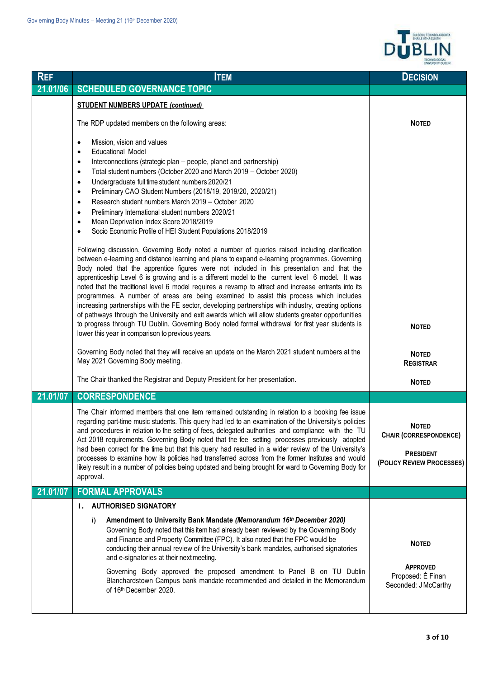

| <b>REF</b> | <b>ITEM</b>                                                                                                                                                                                                                                                                                                                                                                                                                                                                                                                                                                                                                                                                                                                                                                                                                                                                                                                                                                                                                                                                                                                                                                                                                                                                                                                                                                                                                                                                                  | <b>DECISION</b>                                                                                |
|------------|----------------------------------------------------------------------------------------------------------------------------------------------------------------------------------------------------------------------------------------------------------------------------------------------------------------------------------------------------------------------------------------------------------------------------------------------------------------------------------------------------------------------------------------------------------------------------------------------------------------------------------------------------------------------------------------------------------------------------------------------------------------------------------------------------------------------------------------------------------------------------------------------------------------------------------------------------------------------------------------------------------------------------------------------------------------------------------------------------------------------------------------------------------------------------------------------------------------------------------------------------------------------------------------------------------------------------------------------------------------------------------------------------------------------------------------------------------------------------------------------|------------------------------------------------------------------------------------------------|
| 21.01/06   | <b>SCHEDULED GOVERNANCE TOPIC</b>                                                                                                                                                                                                                                                                                                                                                                                                                                                                                                                                                                                                                                                                                                                                                                                                                                                                                                                                                                                                                                                                                                                                                                                                                                                                                                                                                                                                                                                            |                                                                                                |
|            | <b>STUDENT NUMBERS UPDATE (continued)</b>                                                                                                                                                                                                                                                                                                                                                                                                                                                                                                                                                                                                                                                                                                                                                                                                                                                                                                                                                                                                                                                                                                                                                                                                                                                                                                                                                                                                                                                    |                                                                                                |
|            | The RDP updated members on the following areas:                                                                                                                                                                                                                                                                                                                                                                                                                                                                                                                                                                                                                                                                                                                                                                                                                                                                                                                                                                                                                                                                                                                                                                                                                                                                                                                                                                                                                                              | <b>NOTED</b>                                                                                   |
|            | Mission, vision and values<br>$\bullet$<br><b>Educational Model</b><br>$\bullet$<br>Interconnections (strategic plan – people, planet and partnership)<br>$\bullet$<br>Total student numbers (October 2020 and March 2019 - October 2020)<br>$\bullet$<br>Undergraduate full time student numbers 2020/21<br>$\bullet$<br>Preliminary CAO Student Numbers (2018/19, 2019/20, 2020/21)<br>$\bullet$<br>Research student numbers March 2019 - October 2020<br>$\bullet$<br>Preliminary International student numbers 2020/21<br>$\bullet$<br>Mean Deprivation Index Score 2018/2019<br>$\bullet$<br>Socio Economic Profile of HEI Student Populations 2018/2019<br>$\bullet$<br>Following discussion, Governing Body noted a number of queries raised including clarification<br>between e-learning and distance learning and plans to expand e-learning programmes. Governing<br>Body noted that the apprentice figures were not included in this presentation and that the<br>apprenticeship Level 6 is growing and is a different model to the current level 6 model. It was<br>noted that the traditional level 6 model requires a revamp to attract and increase entrants into its<br>programmes. A number of areas are being examined to assist this process which includes<br>increasing partnerships with the FE sector, developing partnerships with industry, creating options<br>of pathways through the University and exit awards which will allow students greater opportunities |                                                                                                |
|            | to progress through TU Dublin. Governing Body noted formal withdrawal for first year students is<br>lower this year in comparison to previous years.                                                                                                                                                                                                                                                                                                                                                                                                                                                                                                                                                                                                                                                                                                                                                                                                                                                                                                                                                                                                                                                                                                                                                                                                                                                                                                                                         | <b>NOTED</b>                                                                                   |
|            | Governing Body noted that they will receive an update on the March 2021 student numbers at the<br>May 2021 Governing Body meeting.                                                                                                                                                                                                                                                                                                                                                                                                                                                                                                                                                                                                                                                                                                                                                                                                                                                                                                                                                                                                                                                                                                                                                                                                                                                                                                                                                           | <b>NOTED</b><br><b>REGISTRAR</b>                                                               |
|            | The Chair thanked the Registrar and Deputy President for her presentation.                                                                                                                                                                                                                                                                                                                                                                                                                                                                                                                                                                                                                                                                                                                                                                                                                                                                                                                                                                                                                                                                                                                                                                                                                                                                                                                                                                                                                   | <b>NOTED</b>                                                                                   |
| 21.01/07   | <b>CORRESPONDENCE</b>                                                                                                                                                                                                                                                                                                                                                                                                                                                                                                                                                                                                                                                                                                                                                                                                                                                                                                                                                                                                                                                                                                                                                                                                                                                                                                                                                                                                                                                                        |                                                                                                |
|            | The Chair informed members that one item remained outstanding in relation to a booking fee issue<br>regarding part-time music students. This query had led to an examination of the University's policies<br>and procedures in relation to the setting of fees, delegated authorities and compliance with the TU<br>Act 2018 requirements. Governing Body noted that the fee setting processes previously adopted<br>had been correct for the time but that this query had resulted in a wider review of the University's<br>processes to examine how its policies had transferred across from the former Institutes and would<br>likely result in a number of policies being updated and being brought for ward to Governing Body for<br>approval.                                                                                                                                                                                                                                                                                                                                                                                                                                                                                                                                                                                                                                                                                                                                          | <b>NOTED</b><br><b>CHAIR (CORRESPONDENCE)</b><br><b>PRESIDENT</b><br>(POLICY REVIEW PROCESSES) |
| 21.01/07   | <b>FORMAL APPROVALS</b>                                                                                                                                                                                                                                                                                                                                                                                                                                                                                                                                                                                                                                                                                                                                                                                                                                                                                                                                                                                                                                                                                                                                                                                                                                                                                                                                                                                                                                                                      |                                                                                                |
|            | <b>I. AUTHORISED SIGNATORY</b>                                                                                                                                                                                                                                                                                                                                                                                                                                                                                                                                                                                                                                                                                                                                                                                                                                                                                                                                                                                                                                                                                                                                                                                                                                                                                                                                                                                                                                                               |                                                                                                |
|            | Amendment to University Bank Mandate (Memorandum 16th December 2020)<br>i)<br>Governing Body noted that this item had already been reviewed by the Governing Body<br>and Finance and Property Committee (FPC). It also noted that the FPC would be<br>conducting their annual review of the University's bank mandates, authorised signatories<br>and e-signatories at their next meeting.<br>Governing Body approved the proposed amendment to Panel B on TU Dublin<br>Blanchardstown Campus bank mandate recommended and detailed in the Memorandum<br>of 16th December 2020.                                                                                                                                                                                                                                                                                                                                                                                                                                                                                                                                                                                                                                                                                                                                                                                                                                                                                                              | <b>NOTED</b><br><b>APPROVED</b><br>Proposed: É Finan<br>Seconded: JMcCarthy                    |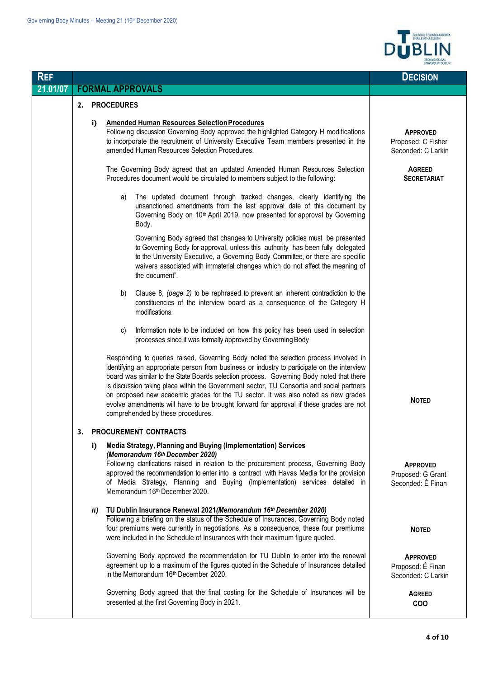

| <b>REF</b> |    |     |                                                                                                                                                                                                                                                                                                                                                                                                                                                                                                                                                                                                   | <b>DECISION</b>                                             |
|------------|----|-----|---------------------------------------------------------------------------------------------------------------------------------------------------------------------------------------------------------------------------------------------------------------------------------------------------------------------------------------------------------------------------------------------------------------------------------------------------------------------------------------------------------------------------------------------------------------------------------------------------|-------------------------------------------------------------|
| 21.01/07   |    |     | <b>FORMAL APPROVALS</b>                                                                                                                                                                                                                                                                                                                                                                                                                                                                                                                                                                           |                                                             |
|            | 2. |     | <b>PROCEDURES</b>                                                                                                                                                                                                                                                                                                                                                                                                                                                                                                                                                                                 |                                                             |
|            |    | i)  | <b>Amended Human Resources Selection Procedures</b><br>Following discussion Governing Body approved the highlighted Category H modifications<br>to incorporate the recruitment of University Executive Team members presented in the<br>amended Human Resources Selection Procedures.                                                                                                                                                                                                                                                                                                             | <b>APPROVED</b><br>Proposed: C Fisher<br>Seconded: C Larkin |
|            |    |     | The Governing Body agreed that an updated Amended Human Resources Selection<br>Procedures document would be circulated to members subject to the following:                                                                                                                                                                                                                                                                                                                                                                                                                                       | <b>AGREED</b><br><b>SECRETARIAT</b>                         |
|            |    |     | The updated document through tracked changes, clearly identifying the<br>a)<br>unsanctioned amendments from the last approval date of this document by<br>Governing Body on 10 <sup>th</sup> April 2019, now presented for approval by Governing<br>Body.                                                                                                                                                                                                                                                                                                                                         |                                                             |
|            |    |     | Governing Body agreed that changes to University policies must be presented<br>to Governing Body for approval, unless this authority has been fully delegated<br>to the University Executive, a Governing Body Committee, or there are specific<br>waivers associated with immaterial changes which do not affect the meaning of<br>the document".                                                                                                                                                                                                                                                |                                                             |
|            |    |     | Clause 8, (page 2) to be rephrased to prevent an inherent contradiction to the<br>b)<br>constituencies of the interview board as a consequence of the Category H<br>modifications.                                                                                                                                                                                                                                                                                                                                                                                                                |                                                             |
|            |    |     | Information note to be included on how this policy has been used in selection<br>C)<br>processes since it was formally approved by Governing Body                                                                                                                                                                                                                                                                                                                                                                                                                                                 |                                                             |
|            |    |     | Responding to queries raised, Governing Body noted the selection process involved in<br>identifying an appropriate person from business or industry to participate on the interview<br>board was similar to the State Boards selection process. Governing Body noted that there<br>is discussion taking place within the Government sector, TU Consortia and social partners<br>on proposed new academic grades for the TU sector. It was also noted as new grades<br>evolve amendments will have to be brought forward for approval if these grades are not<br>comprehended by these procedures. | <b>NOTED</b>                                                |
|            | 3. |     | <b>PROCUREMENT CONTRACTS</b>                                                                                                                                                                                                                                                                                                                                                                                                                                                                                                                                                                      |                                                             |
|            |    | i)  | Media Strategy, Planning and Buying (Implementation) Services<br>(Memorandum 16th December 2020)<br>Following clarifications raised in relation to the procurement process, Governing Body<br>approved the recommendation to enter into a contract with Havas Media for the provision<br>of Media Strategy, Planning and Buying (Implementation) services detailed in<br>Memorandum 16th December 2020.                                                                                                                                                                                           | <b>APPROVED</b><br>Proposed: G Grant<br>Seconded: É Finan   |
|            |    | ii) | TU Dublin Insurance Renewal 2021 (Memorandum 16th December 2020)<br>Following a briefing on the status of the Schedule of Insurances, Governing Body noted<br>four premiums were currently in negotiations. As a consequence, these four premiums<br>were included in the Schedule of Insurances with their maximum figure quoted.                                                                                                                                                                                                                                                                | <b>NOTED</b>                                                |
|            |    |     | Governing Body approved the recommendation for TU Dublin to enter into the renewal<br>agreement up to a maximum of the figures quoted in the Schedule of Insurances detailed<br>in the Memorandum 16th December 2020.                                                                                                                                                                                                                                                                                                                                                                             | <b>APPROVED</b><br>Proposed: É Finan<br>Seconded: C Larkin  |
|            |    |     | Governing Body agreed that the final costing for the Schedule of Insurances will be<br>presented at the first Governing Body in 2021.                                                                                                                                                                                                                                                                                                                                                                                                                                                             | <b>AGREED</b><br><b>COO</b>                                 |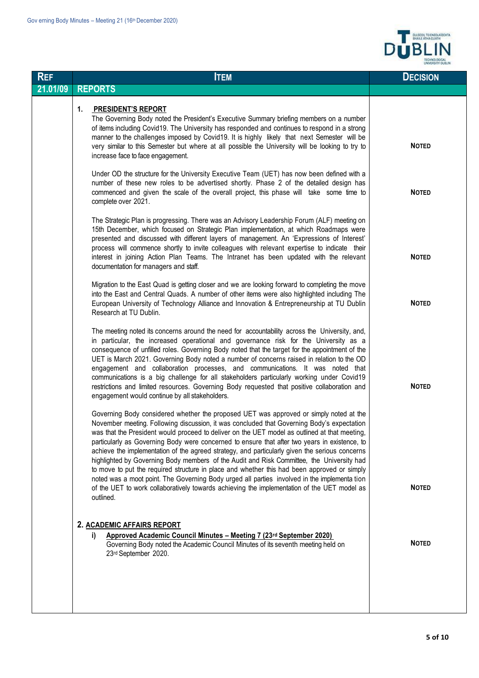

| <b>REF</b> | <b>ITEM</b>                                                                                                                                                                                                                                                                                                                                                                                                                                                                                                                                                                                                                                                                                                                                                                                                                                                                                      | <b>DECISION</b> |
|------------|--------------------------------------------------------------------------------------------------------------------------------------------------------------------------------------------------------------------------------------------------------------------------------------------------------------------------------------------------------------------------------------------------------------------------------------------------------------------------------------------------------------------------------------------------------------------------------------------------------------------------------------------------------------------------------------------------------------------------------------------------------------------------------------------------------------------------------------------------------------------------------------------------|-----------------|
| 21.01/09   | <b>REPORTS</b>                                                                                                                                                                                                                                                                                                                                                                                                                                                                                                                                                                                                                                                                                                                                                                                                                                                                                   |                 |
|            | <b>PRESIDENT'S REPORT</b><br>1.<br>The Governing Body noted the President's Executive Summary briefing members on a number<br>of items including Covid19. The University has responded and continues to respond in a strong<br>manner to the challenges imposed by Covid19. It is highly likely that next Semester will be<br>very similar to this Semester but where at all possible the University will be looking to try to<br>increase face to face engagement.                                                                                                                                                                                                                                                                                                                                                                                                                              | <b>NOTED</b>    |
|            | Under OD the structure for the University Executive Team (UET) has now been defined with a<br>number of these new roles to be advertised shortly. Phase 2 of the detailed design has<br>commenced and given the scale of the overall project, this phase will take some time to<br>complete over 2021.                                                                                                                                                                                                                                                                                                                                                                                                                                                                                                                                                                                           | <b>NOTED</b>    |
|            | The Strategic Plan is progressing. There was an Advisory Leadership Forum (ALF) meeting on<br>15th December, which focused on Strategic Plan implementation, at which Roadmaps were<br>presented and discussed with different layers of management. An 'Expressions of Interest'<br>process will commence shortly to invite colleagues with relevant expertise to indicate their<br>interest in joining Action Plan Teams. The Intranet has been updated with the relevant<br>documentation for managers and staff.                                                                                                                                                                                                                                                                                                                                                                              | <b>NOTED</b>    |
|            | Migration to the East Quad is getting closer and we are looking forward to completing the move<br>into the East and Central Quads. A number of other items were also highlighted including The<br>European University of Technology Alliance and Innovation & Entrepreneurship at TU Dublin<br>Research at TU Dublin.                                                                                                                                                                                                                                                                                                                                                                                                                                                                                                                                                                            | <b>NOTED</b>    |
|            | The meeting noted its concerns around the need for accountability across the University, and,<br>in particular, the increased operational and governance risk for the University as a<br>consequence of unfilled roles. Governing Body noted that the target for the appointment of the<br>UET is March 2021. Governing Body noted a number of concerns raised in relation to the OD<br>engagement and collaboration processes, and communications. It was noted that<br>communications is a big challenge for all stakeholders particularly working under Covid19<br>restrictions and limited resources. Governing Body requested that positive collaboration and<br>engagement would continue by all stakeholders.                                                                                                                                                                             | <b>NOTED</b>    |
|            | Governing Body considered whether the proposed UET was approved or simply noted at the<br>November meeting. Following discussion, it was concluded that Governing Body's expectation<br>was that the President would proceed to deliver on the UET model as outlined at that meeting,<br>particularly as Governing Body were concerned to ensure that after two years in existence, to<br>achieve the implementation of the agreed strategy, and particularly given the serious concerns<br>highlighted by Governing Body members of the Audit and Risk Committee, the University had<br>to move to put the required structure in place and whether this had been approved or simply<br>noted was a moot point. The Governing Body urged all parties involved in the implementa tion<br>of the UET to work collaboratively towards achieving the implementation of the UET model as<br>outlined. | <b>NOTED</b>    |
|            | 2. ACADEMIC AFFAIRS REPORT<br>Approved Academic Council Minutes - Meeting 7 (23rd September 2020)<br>i).<br>Governing Body noted the Academic Council Minutes of its seventh meeting held on<br>23rd September 2020.                                                                                                                                                                                                                                                                                                                                                                                                                                                                                                                                                                                                                                                                             | <b>NOTED</b>    |
|            |                                                                                                                                                                                                                                                                                                                                                                                                                                                                                                                                                                                                                                                                                                                                                                                                                                                                                                  |                 |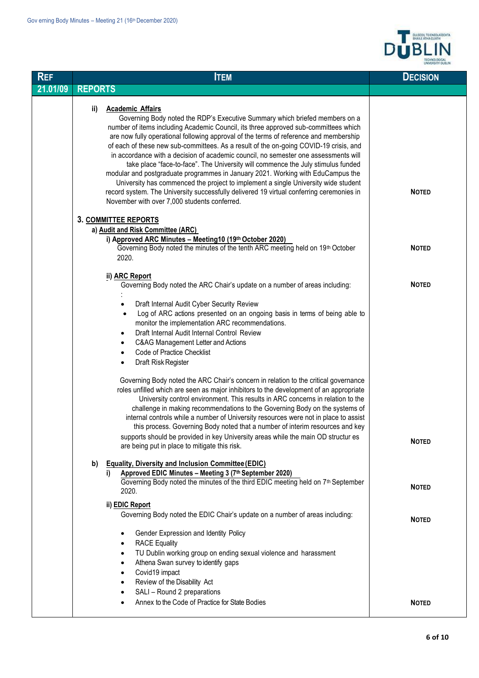

| <b>REF</b> | <b>ITEM</b>                                                                                                                                                                                                                                                                                                                                                                                                                                                                                                                                                                                                                                                                                                                                                                                                                                                                            | <b>DECISION</b> |
|------------|----------------------------------------------------------------------------------------------------------------------------------------------------------------------------------------------------------------------------------------------------------------------------------------------------------------------------------------------------------------------------------------------------------------------------------------------------------------------------------------------------------------------------------------------------------------------------------------------------------------------------------------------------------------------------------------------------------------------------------------------------------------------------------------------------------------------------------------------------------------------------------------|-----------------|
| 21.01/09   | <b>REPORTS</b>                                                                                                                                                                                                                                                                                                                                                                                                                                                                                                                                                                                                                                                                                                                                                                                                                                                                         |                 |
|            | <b>Academic Affairs</b><br>ii)<br>Governing Body noted the RDP's Executive Summary which briefed members on a<br>number of items including Academic Council, its three approved sub-committees which<br>are now fully operational following approval of the terms of reference and membership<br>of each of these new sub-committees. As a result of the on-going COVID-19 crisis, and<br>in accordance with a decision of academic council, no semester one assessments will<br>take place "face-to-face". The University will commence the July stimulus funded<br>modular and postgraduate programmes in January 2021. Working with EduCampus the<br>University has commenced the project to implement a single University wide student<br>record system. The University successfully delivered 19 virtual conferring ceremonies in<br>November with over 7,000 students conferred. | <b>NOTED</b>    |
|            | 3. COMMITTEE REPORTS                                                                                                                                                                                                                                                                                                                                                                                                                                                                                                                                                                                                                                                                                                                                                                                                                                                                   |                 |
|            | a) Audit and Risk Committee (ARC)                                                                                                                                                                                                                                                                                                                                                                                                                                                                                                                                                                                                                                                                                                                                                                                                                                                      |                 |
|            | i) Approved ARC Minutes - Meeting10 (19th October 2020)<br>Governing Body noted the minutes of the tenth ARC meeting held on 19th October<br>2020.                                                                                                                                                                                                                                                                                                                                                                                                                                                                                                                                                                                                                                                                                                                                     | <b>NOTED</b>    |
|            | ii) ARC Report<br>Governing Body noted the ARC Chair's update on a number of areas including:                                                                                                                                                                                                                                                                                                                                                                                                                                                                                                                                                                                                                                                                                                                                                                                          | <b>NOTED</b>    |
|            | Draft Internal Audit Cyber Security Review<br>Log of ARC actions presented on an ongoing basis in terms of being able to<br>$\bullet$<br>monitor the implementation ARC recommendations.<br>Draft Internal Audit Internal Control Review<br>$\bullet$<br>C&AG Management Letter and Actions<br>٠<br><b>Code of Practice Checklist</b><br>$\bullet$<br>Draft Risk Register<br>٠                                                                                                                                                                                                                                                                                                                                                                                                                                                                                                         |                 |
|            | Governing Body noted the ARC Chair's concern in relation to the critical governance<br>roles unfilled which are seen as major inhibitors to the development of an appropriate<br>University control environment. This results in ARC concerns in relation to the<br>challenge in making recommendations to the Governing Body on the systems of<br>internal controls while a number of University resources were not in place to assist<br>this process. Governing Body noted that a number of interim resources and key<br>supports should be provided in key University areas while the main OD structur es<br>are being put in place to mitigate this risk.                                                                                                                                                                                                                         | <b>NOTED</b>    |
|            | <b>Equality, Diversity and Inclusion Committee (EDIC)</b><br>b)<br>Approved EDIC Minutes - Meeting 3 (7th September 2020)<br>i).<br>Governing Body noted the minutes of the third EDIC meeting held on 7th September<br>2020.                                                                                                                                                                                                                                                                                                                                                                                                                                                                                                                                                                                                                                                          | <b>NOTED</b>    |
|            | ii) EDIC Report<br>Governing Body noted the EDIC Chair's update on a number of areas including:                                                                                                                                                                                                                                                                                                                                                                                                                                                                                                                                                                                                                                                                                                                                                                                        | <b>NOTED</b>    |
|            | Gender Expression and Identity Policy<br><b>RACE Equality</b><br>TU Dublin working group on ending sexual violence and harassment<br>Athena Swan survey to identify gaps<br>Covid19 impact<br>٠<br>Review of the Disability Act<br>SALI - Round 2 preparations<br>Annex to the Code of Practice for State Bodies                                                                                                                                                                                                                                                                                                                                                                                                                                                                                                                                                                       | <b>NOTED</b>    |
|            |                                                                                                                                                                                                                                                                                                                                                                                                                                                                                                                                                                                                                                                                                                                                                                                                                                                                                        |                 |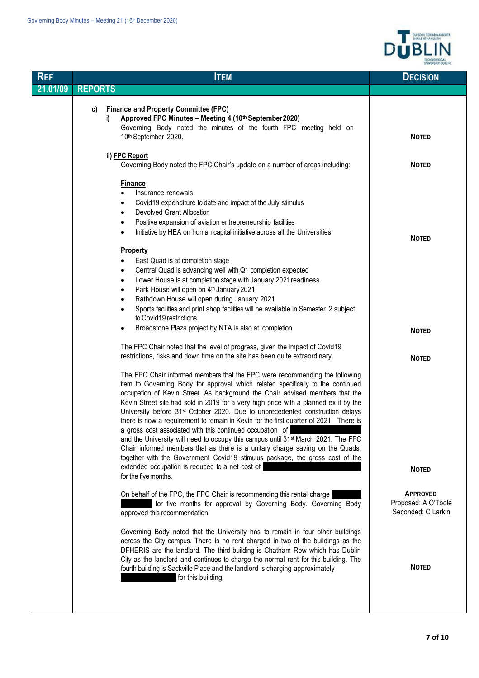$\overline{\phantom{a}}$ 



| <b>REF</b> | <b>ITEM</b>                                                                                                                                                                                                                                                                                                                                                                                                                                                                                                                                                                                                                                                                                                                                                                                                                                                                                                    | <b>DECISION</b>                                              |
|------------|----------------------------------------------------------------------------------------------------------------------------------------------------------------------------------------------------------------------------------------------------------------------------------------------------------------------------------------------------------------------------------------------------------------------------------------------------------------------------------------------------------------------------------------------------------------------------------------------------------------------------------------------------------------------------------------------------------------------------------------------------------------------------------------------------------------------------------------------------------------------------------------------------------------|--------------------------------------------------------------|
| 21.01/09   | <b>REPORTS</b>                                                                                                                                                                                                                                                                                                                                                                                                                                                                                                                                                                                                                                                                                                                                                                                                                                                                                                 |                                                              |
|            | <b>Finance and Property Committee (FPC)</b><br>C)<br>Approved FPC Minutes - Meeting 4 (10th September 2020)<br>i)<br>Governing Body noted the minutes of the fourth FPC meeting held on<br>10th September 2020.                                                                                                                                                                                                                                                                                                                                                                                                                                                                                                                                                                                                                                                                                                | <b>NOTED</b>                                                 |
|            | ii) FPC Report<br>Governing Body noted the FPC Chair's update on a number of areas including:                                                                                                                                                                                                                                                                                                                                                                                                                                                                                                                                                                                                                                                                                                                                                                                                                  | <b>NOTED</b>                                                 |
|            | <b>Finance</b><br>Insurance renewals<br>Covid19 expenditure to date and impact of the July stimulus<br>$\bullet$<br>Devolved Grant Allocation<br>$\bullet$<br>Positive expansion of aviation entrepreneurship facilities<br>٠<br>Initiative by HEA on human capital initiative across all the Universities<br>٠                                                                                                                                                                                                                                                                                                                                                                                                                                                                                                                                                                                                | <b>NOTED</b>                                                 |
|            | <b>Property</b><br>East Quad is at completion stage<br>Central Quad is advancing well with Q1 completion expected<br>٠<br>Lower House is at completion stage with January 2021 readiness<br>$\bullet$<br>Park House will open on 4th January 2021<br>٠<br>Rathdown House will open during January 2021<br>٠<br>Sports facilities and print shop facilities will be available in Semester 2 subject<br>$\bullet$<br>to Covid19 restrictions                                                                                                                                                                                                                                                                                                                                                                                                                                                                     |                                                              |
|            | Broadstone Plaza project by NTA is also at completion                                                                                                                                                                                                                                                                                                                                                                                                                                                                                                                                                                                                                                                                                                                                                                                                                                                          | <b>NOTED</b>                                                 |
|            | The FPC Chair noted that the level of progress, given the impact of Covid19<br>restrictions, risks and down time on the site has been quite extraordinary.                                                                                                                                                                                                                                                                                                                                                                                                                                                                                                                                                                                                                                                                                                                                                     | <b>NOTED</b>                                                 |
|            | The FPC Chair informed members that the FPC were recommending the following<br>item to Governing Body for approval which related specifically to the continued<br>occupation of Kevin Street. As background the Chair advised members that the<br>Kevin Street site had sold in 2019 for a very high price with a planned ex it by the<br>University before 31 <sup>st</sup> October 2020. Due to unprecedented construction delays<br>there is now a requirement to remain in Kevin for the first quarter of 2021. There is<br>a gross cost associated with this continued occupation of<br>and the University will need to occupy this campus until 31 <sup>st</sup> March 2021. The FPC<br>Chair informed members that as there is a unitary charge saving on the Quads,<br>together with the Government Covid19 stimulus package, the gross cost of the<br>extended occupation is reduced to a net cost of |                                                              |
|            | for the five months.                                                                                                                                                                                                                                                                                                                                                                                                                                                                                                                                                                                                                                                                                                                                                                                                                                                                                           | <b>NOTED</b>                                                 |
|            | On behalf of the FPC, the FPC Chair is recommending this rental charge<br>for five months for approval by Governing Body. Governing Body<br>approved this recommendation.                                                                                                                                                                                                                                                                                                                                                                                                                                                                                                                                                                                                                                                                                                                                      | <b>APPROVED</b><br>Proposed: A O'Toole<br>Seconded: C Larkin |
|            | Governing Body noted that the University has to remain in four other buildings<br>across the City campus. There is no rent charged in two of the buildings as the<br>DFHERIS are the landlord. The third building is Chatham Row which has Dublin<br>City as the landlord and continues to charge the normal rent for this building. The<br>fourth building is Sackville Place and the landlord is charging approximately<br>for this building.                                                                                                                                                                                                                                                                                                                                                                                                                                                                | <b>NOTED</b>                                                 |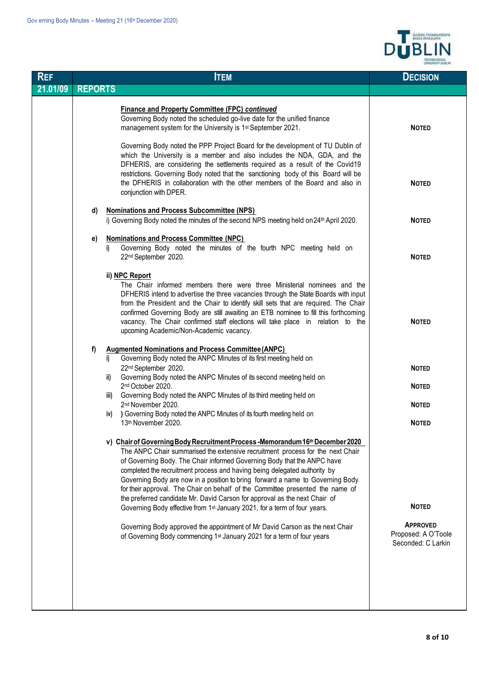

| <b>REF</b> |                | <b>ITEM</b>                                                                                                                                                                                                                                                                                                                                                                                                                                                                                                                                                                | <b>DECISION</b>                                              |
|------------|----------------|----------------------------------------------------------------------------------------------------------------------------------------------------------------------------------------------------------------------------------------------------------------------------------------------------------------------------------------------------------------------------------------------------------------------------------------------------------------------------------------------------------------------------------------------------------------------------|--------------------------------------------------------------|
| 21.01/09   | <b>REPORTS</b> |                                                                                                                                                                                                                                                                                                                                                                                                                                                                                                                                                                            |                                                              |
|            |                | <b>Finance and Property Committee (FPC) continued</b><br>Governing Body noted the scheduled go-live date for the unified finance<br>management system for the University is 1 <sup>st</sup> September 2021.                                                                                                                                                                                                                                                                                                                                                                | <b>NOTED</b>                                                 |
|            |                | Governing Body noted the PPP Project Board for the development of TU Dublin of<br>which the University is a member and also includes the NDA, GDA, and the<br>DFHERIS, are considering the settlements required as a result of the Covid19<br>restrictions. Governing Body noted that the sanctioning body of this Board will be<br>the DFHERIS in collaboration with the other members of the Board and also in<br>conjunction with DPER.                                                                                                                                 | <b>NOTED</b>                                                 |
|            | d)             | <b>Nominations and Process Subcommittee (NPS)</b><br>i) Governing Body noted the minutes of the second NPS meeting held on 24th April 2020.                                                                                                                                                                                                                                                                                                                                                                                                                                | <b>NOTED</b>                                                 |
|            | e)             | <b>Nominations and Process Committee (NPC)</b><br>Governing Body noted the minutes of the fourth NPC meeting held on<br>j)<br>22nd September 2020.                                                                                                                                                                                                                                                                                                                                                                                                                         | <b>NOTED</b>                                                 |
|            |                | ii) NPC Report<br>The Chair informed members there were three Ministerial nominees and the<br>DFHERIS intend to advertise the three vacancies through the State Boards with input<br>from the President and the Chair to identify skill sets that are required. The Chair<br>confirmed Governing Body are still awaiting an ETB nominee to fill this forthcoming<br>vacancy. The Chair confirmed staff elections will take place in relation to the<br>upcoming Academic/Non-Academic vacancy.                                                                             | <b>NOTED</b>                                                 |
|            | f)             | <b>Augmented Nominations and Process Committee (ANPC)</b><br>Governing Body noted the ANPC Minutes of its first meeting held on<br>i)<br>22nd September 2020.<br>Governing Body noted the ANPC Minutes of its second meeting held on<br>ii)<br>2nd October 2020.                                                                                                                                                                                                                                                                                                           | <b>NOTED</b><br><b>NOTED</b>                                 |
|            |                | Governing Body noted the ANPC Minutes of its third meeting held on<br>iii)<br>2nd November 2020.                                                                                                                                                                                                                                                                                                                                                                                                                                                                           | <b>NOTED</b>                                                 |
|            |                | ) Governing Body noted the ANPC Minutes of its fourth meeting held on<br>iv)<br>13th November 2020.                                                                                                                                                                                                                                                                                                                                                                                                                                                                        | <b>NOTED</b>                                                 |
|            |                | v) Chair of Governing Body Recruitment Process - Memorandum 16th December 2020<br>The ANPC Chair summarised the extensive recruitment process for the next Chair<br>of Governing Body. The Chair informed Governing Body that the ANPC have<br>completed the recruitment process and having being delegated authority by<br>Governing Body are now in a position to bring forward a name to Governing Body<br>for their approval. The Chair on behalf of the Committee presented the name of<br>the preferred candidate Mr. David Carson for approval as the next Chair of |                                                              |
|            |                | Governing Body effective from 1 <sup>st</sup> January 2021, for a term of four years.                                                                                                                                                                                                                                                                                                                                                                                                                                                                                      | <b>NOTED</b>                                                 |
|            |                | Governing Body approved the appointment of Mr David Carson as the next Chair<br>of Governing Body commencing 1 <sup>st</sup> January 2021 for a term of four years                                                                                                                                                                                                                                                                                                                                                                                                         | <b>APPROVED</b><br>Proposed: A O'Toole<br>Seconded: C Larkin |
|            |                |                                                                                                                                                                                                                                                                                                                                                                                                                                                                                                                                                                            |                                                              |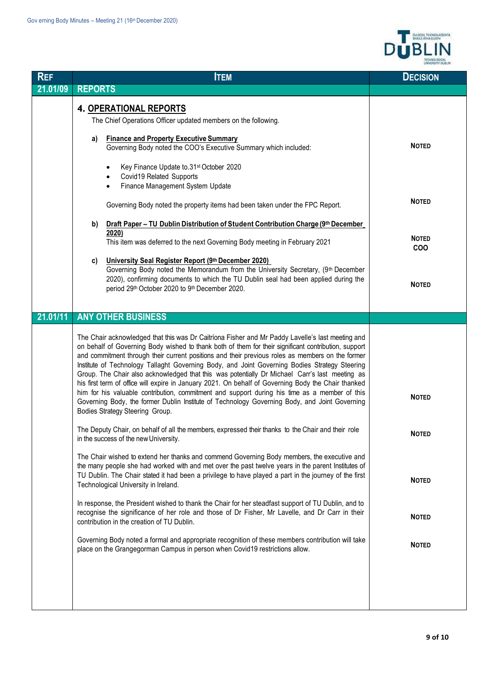

| <b>REF</b> | <b>ITEM</b>                                                                                                                                                                                                                                                                                                                                                                                                                                                                                                                                                                                                                                                                                                                                                                                                                                                                | <b>DECISION</b>                                                            |
|------------|----------------------------------------------------------------------------------------------------------------------------------------------------------------------------------------------------------------------------------------------------------------------------------------------------------------------------------------------------------------------------------------------------------------------------------------------------------------------------------------------------------------------------------------------------------------------------------------------------------------------------------------------------------------------------------------------------------------------------------------------------------------------------------------------------------------------------------------------------------------------------|----------------------------------------------------------------------------|
| 21.01/09   | <b>REPORTS</b>                                                                                                                                                                                                                                                                                                                                                                                                                                                                                                                                                                                                                                                                                                                                                                                                                                                             |                                                                            |
|            | <b>4. OPERATIONAL REPORTS</b><br>The Chief Operations Officer updated members on the following.<br><b>Finance and Property Executive Summary</b><br>a)<br>Governing Body noted the COO's Executive Summary which included:<br>Key Finance Update to.31 <sup>st</sup> October 2020<br>٠<br>Covid19 Related Supports<br>٠<br>Finance Management System Update<br>٠<br>Governing Body noted the property items had been taken under the FPC Report.<br>Draft Paper - TU Dublin Distribution of Student Contribution Charge (9th December<br>b)<br>2020)<br>This item was deferred to the next Governing Body meeting in February 2021<br>University Seal Register Report (9th December 2020)<br>C)<br>Governing Body noted the Memorandum from the University Secretary, (9th December<br>2020), confirming documents to which the TU Dublin seal had been applied during the | <b>NOTED</b><br><b>NOTED</b><br><b>NOTED</b><br><b>COO</b><br><b>NOTED</b> |
|            | period 29th October 2020 to 9th December 2020.                                                                                                                                                                                                                                                                                                                                                                                                                                                                                                                                                                                                                                                                                                                                                                                                                             |                                                                            |
|            |                                                                                                                                                                                                                                                                                                                                                                                                                                                                                                                                                                                                                                                                                                                                                                                                                                                                            |                                                                            |
| 21.01/11   | <b>ANY OTHER BUSINESS</b>                                                                                                                                                                                                                                                                                                                                                                                                                                                                                                                                                                                                                                                                                                                                                                                                                                                  |                                                                            |
|            | The Chair acknowledged that this was Dr Caitríona Fisher and Mr Paddy Lavelle's last meeting and<br>on behalf of Governing Body wished to thank both of them for their significant contribution, support<br>and commitment through their current positions and their previous roles as members on the former<br>Institute of Technology Tallaght Governing Body, and Joint Governing Bodies Strategy Steering<br>Group. The Chair also acknowledged that this was potentially Dr Michael Carr's last meeting as<br>his first term of office will expire in January 2021. On behalf of Governing Body the Chair thanked<br>him for his valuable contribution, commitment and support during his time as a member of this<br>Governing Body, the former Dublin Institute of Technology Governing Body, and Joint Governing<br>Bodies Strategy Steering Group.                | <b>NOTED</b>                                                               |
|            | The Deputy Chair, on behalf of all the members, expressed their thanks to the Chair and their role<br>in the success of the new University.                                                                                                                                                                                                                                                                                                                                                                                                                                                                                                                                                                                                                                                                                                                                | <b>NOTED</b>                                                               |
|            | The Chair wished to extend her thanks and commend Governing Body members, the executive and<br>the many people she had worked with and met over the past twelve years in the parent Institutes of<br>TU Dublin. The Chair stated it had been a privilege to have played a part in the journey of the first<br>Technological University in Ireland.                                                                                                                                                                                                                                                                                                                                                                                                                                                                                                                         | <b>NOTED</b>                                                               |
|            | In response, the President wished to thank the Chair for her steadfast support of TU Dublin, and to<br>recognise the significance of her role and those of Dr Fisher, Mr Lavelle, and Dr Carr in their<br>contribution in the creation of TU Dublin.                                                                                                                                                                                                                                                                                                                                                                                                                                                                                                                                                                                                                       | <b>NOTED</b>                                                               |
|            | Governing Body noted a formal and appropriate recognition of these members contribution will take<br>place on the Grangegorman Campus in person when Covid19 restrictions allow.                                                                                                                                                                                                                                                                                                                                                                                                                                                                                                                                                                                                                                                                                           | <b>NOTED</b>                                                               |
|            |                                                                                                                                                                                                                                                                                                                                                                                                                                                                                                                                                                                                                                                                                                                                                                                                                                                                            |                                                                            |